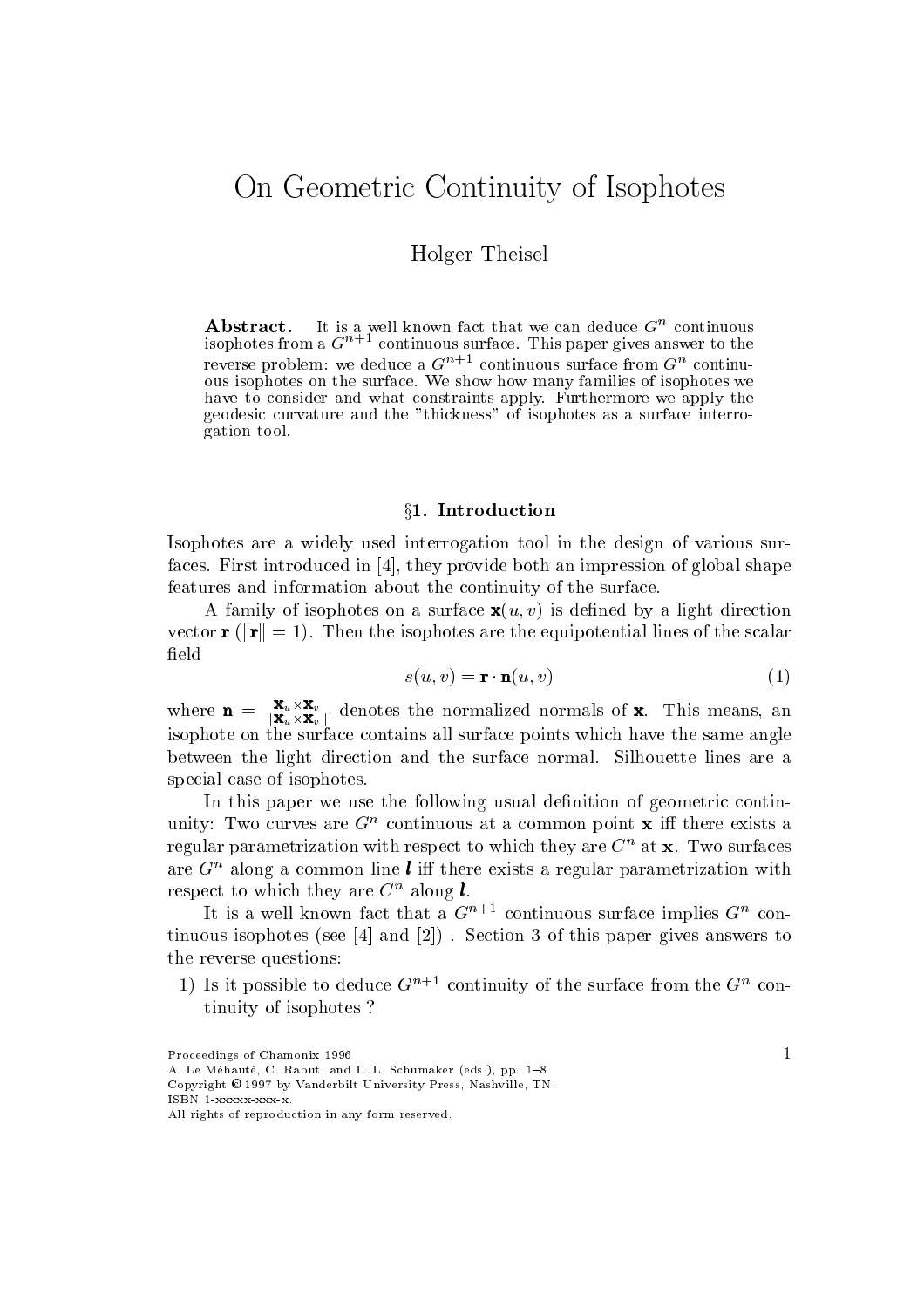# On Geometric Continuity of Isophotes

holger Theory Co

 ${\bf A}$  diagraphs  ${\bf I}$  is a well known fact that we can deduce  $G$  continuous isophotes from a Gn continuous surface This paper gives answer to the reverse problem: we deduce a  $G^{n+1}$  continuous surface from  $G^{n+1}$  continuous isophotes on the surface We show how many families of isophotes we have to consider and what constraints apply Furthermore we apply the geodesic curvature and the thickness of isophotes as <sup>a</sup> surface interrogation tool

#### §1. Introduction

Isophotes are a widely used interrogation tool in the design of various sur faces First introduced in - they provide both an impression of global shape features and information about the continuity of the surface

A family of isophotes on a surface  $\mathbf{x}(u, v)$  is defined by a light direction vector range is the isophotes are the equipotent are scalar lines of the scalar lines of the scalar contributio field

$$
s(u, v) = \mathbf{r} \cdot \mathbf{n}(u, v) \tag{1}
$$

where  $\mathbf{n} = \frac{\mathbf{x}_u \times \mathbf{x}_v}{\|\mathbf{x}_u \times \mathbf{x}_v\|}$  denotes the normalized normals of **x**. This means, an isophote on the surface contains all surface points which have the same angle between the light direction and the surface normal Silhouette lines are a special case of isophotes

In this paper we use the following usual definition of geometric continunity: Two curves are  $G^+$  continuous at a common point  $\boldsymbol{x}$  in there exists a regular parametrization with respect to which they are  $C<sup>n</sup>$  at **x**. Two surfaces are  $G<sup>n</sup>$  along a common line **l** iff there exists a regular parametrization with respect to which they are  $C^n$  along  $l$ .

It is a well known fact that a  $G^{++}$  continuous surface implies  $G^{++}$  contimus is the paper gives and - and - and - and - and - and - and - paper gives and - and - and - and - and - a the reverse questions

1) is it possible to deduce  $G^{++}$  continuity of the surface from the  $G^{++}$  continuity of isophotes

Proceedings of Chamonix 1996 A. Le Méhauté, C. Rabut, and L. L. Schumaker (eds.), pp. 1-8.

Copyright O 1997 by vanderbilt University Press, Nashville, Tiv.  $ISBN 1$  xxxxx  $xxx$  xxx

All rights of reproduction in any form reserved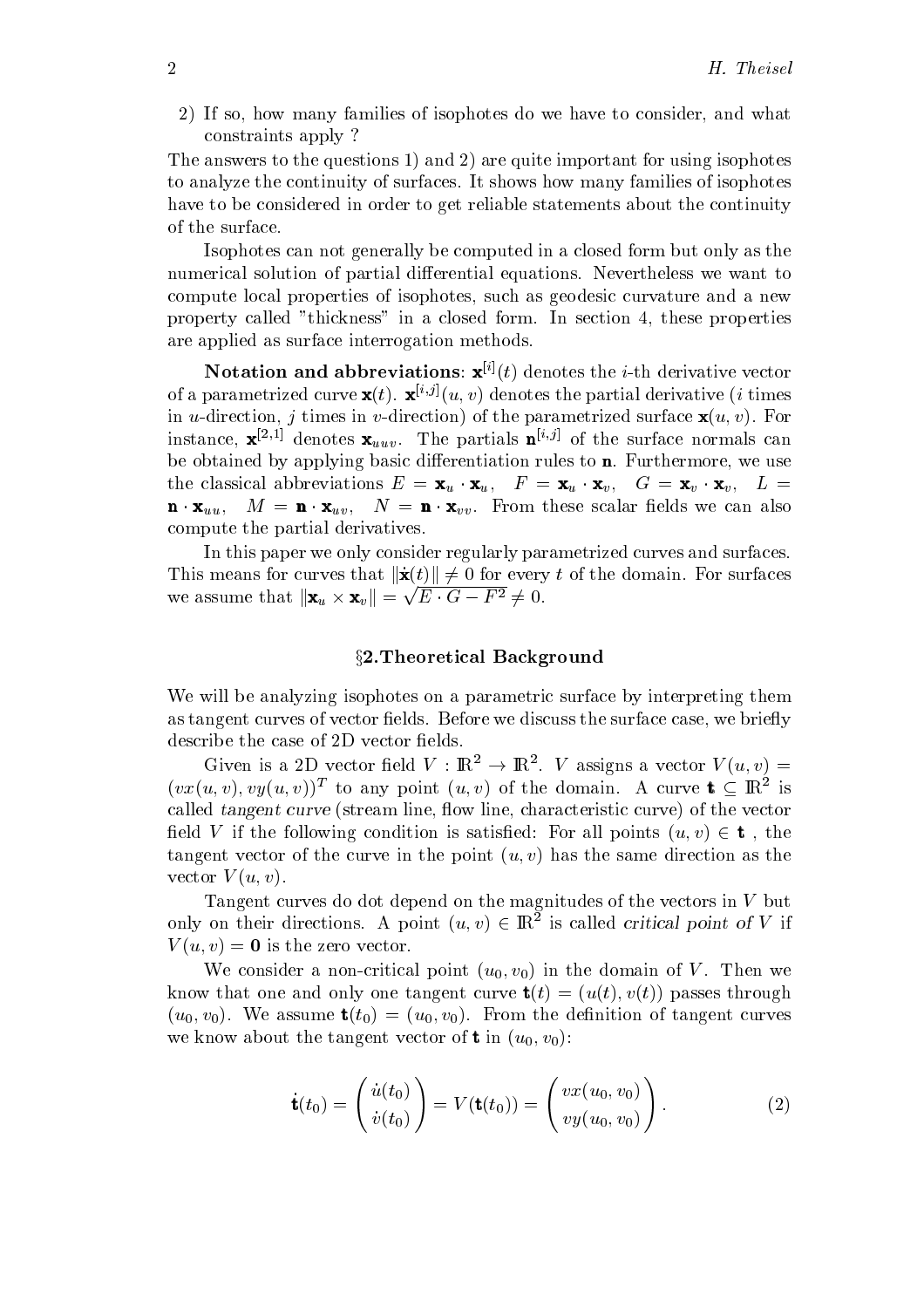2) If so, how many families of isophotes do we have to consider, and what constraints apply

 $\mathcal{L}$  are an order to the areas in positions of  $\mathcal{L}$  , where  $\mathcal{L}$  is the contract for using isophotes in  $\mathcal{L}$ to analyze the continuity of surfaces It shows how many families of isophotes have to be considered in order to get reliable statements about the continuity of the surface

Isophotes can not generally be computed in a closed form but only as the numerical solution of partial differential equations. Nevertheless we want to compute local properties of isophotes, such as geodesic curvature and a new property called "thickness" in a closed form. In section 4, these properties are applied as surface interrogation methods

**Notation and abbreviations:**  $\mathbf{x}^{\mu}(t)$  denotes the *i*-th derivative vector of a parametrized curve  $\mathbf{x}(t)$ .  $\mathbf{x}^{(s)}(u,v)$  denotes the partial derivative  $\{i\}$  times in *u*-direction, *j* times in *v*-direction) of the parametrized surface  $\mathbf{x}(u, v)$ . For instance,  $\mathbf{x}$ ,  $\mathbf{x}$ , denotes  $\mathbf{x}_{uuv}$ . The partials  $\mathbf{u}$ , of the surface normals can be obtained by applying basic differentiation rules to **. Furthermore, we use** the classical abbreviations  $E = \mathbf{x}_u \cdot \mathbf{x}_u$ ,  $F = \mathbf{x}_u \cdot \mathbf{x}_v$ ,  $G = \mathbf{x}_v \cdot \mathbf{x}_v$ ,  $L =$  $\mathbf{n} \cdot \mathbf{x}_{uu}, \quad M = \mathbf{n} \cdot \mathbf{x}_{uv}, \quad N = \mathbf{n} \cdot \mathbf{x}_{vv}.$  From these scalar fields we can also compute the partial derivatives

In this paper we only consider regularly parametrized curves and surfaces This means for curves that  $\|\dot{\mathbf{x}}(t)\| \neq 0$  for every t of the domain. For surfaces we assume that  $\|\mathbf{x}_u \times \mathbf{x}_v\| = \sqrt{E \cdot G - F^2} \neq 0$ .

#### x-Theoretical Background

We will be analyzing isophotes on a parametric surface by interpreting them as tangent curves of vector fields. Before we discuss the surface case, we briefly describe the case of 2D vector fields.

Given is a ZD vector field  $V : \mathbb{R}^+ \to \mathbb{R}^+$ . V assigns a vector  $V(u, v) =$  $(vx(u, v), vy(u, v))$  to any point  $(u, v)$  of the domain. A curve  $t \subseteq \mathbb{R}$  is called tangent curve (stream line, flow line, characteristic curve) of the vector field V if the following condition is satisfied: For all points  $(u, v) \in \mathbf{t}$ , the tangent vector of the curve in the point  $(u, v)$  has the same direction as the vector  $V(u, v)$ .

Tangent curves do dot depend on the magnitudes of the vectors in  $V$  but only on their directions. A point  $(u, v) \in \mathbb{R}$  is called *critical point of*  $V$  if  $V(u, v) = 0$  is the zero vector.

We consider a non-critical point  $(u_0, v_0)$  in the domain of V. Then we know that one and only one tangent curve  $\mathbf{t}(t) = (u(t), v(t))$  passes through  $(u_0, v_0)$ . We assume  $\mathbf{t}(t_0) = (u_0, v_0)$ . From the definition of tangent curves we know about the tangent vector of **t** in  $(u_0, v_0)$ :

$$
\dot{\mathbf{t}}(t_0) = \begin{pmatrix} \dot{u}(t_0) \\ \dot{v}(t_0) \end{pmatrix} = V(\mathbf{t}(t_0)) = \begin{pmatrix} vx(u_0, v_0) \\ vy(u_0, v_0) \end{pmatrix}.
$$
 (2)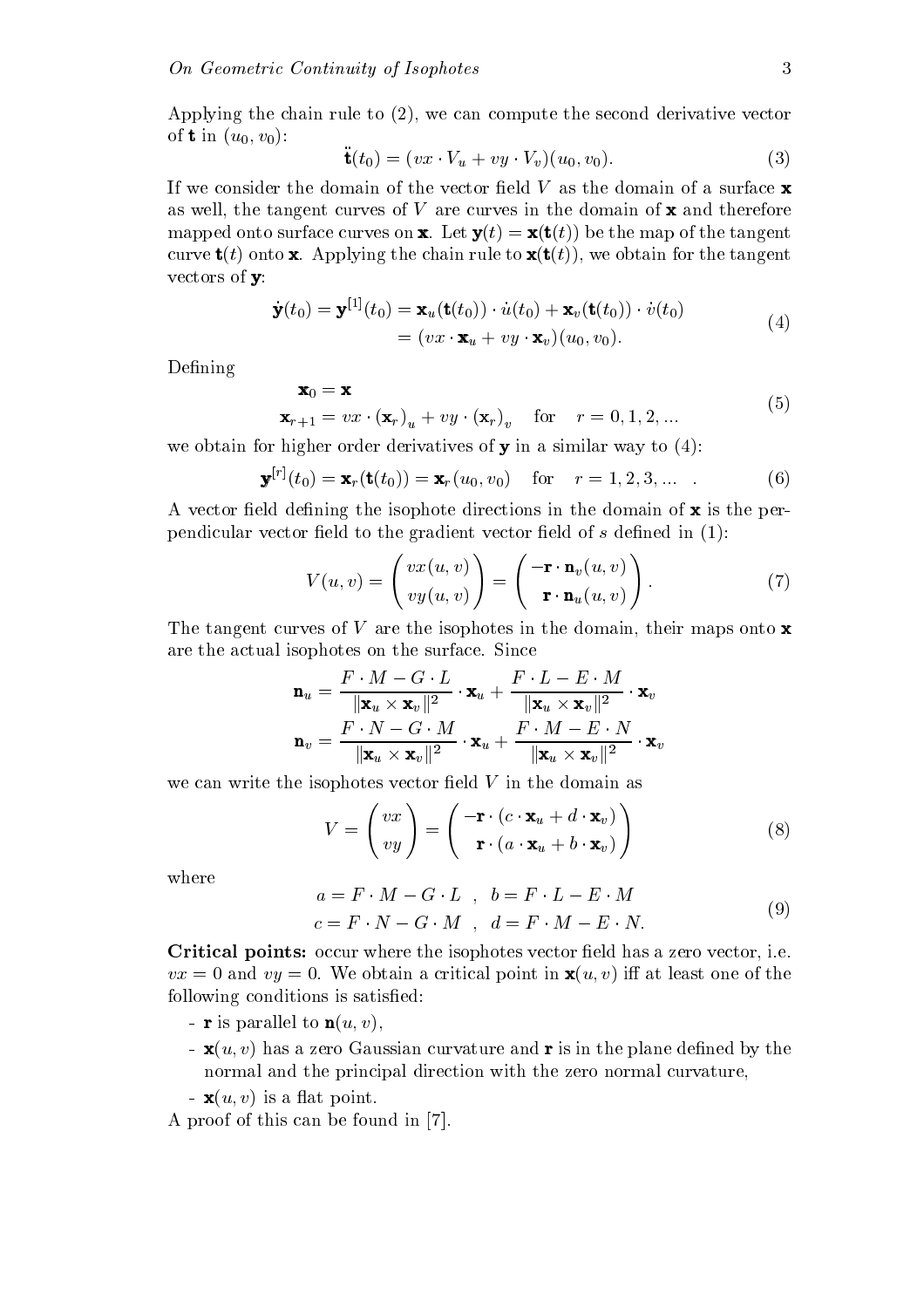Applying the chain rule to  $(2)$ , we can compute the second derivative vector of **t** in  $(u_0, v_0)$ :

$$
\ddot{\mathbf{t}}(t_0) = (vx \cdot V_u + vy \cdot V_v)(u_0, v_0). \tag{3}
$$

If we consider the domain of the vector field  $V$  as the domain of a surface  $\mathbf x$ as well, the tangent curves of V are curves in the domain of  $\mathbf x$  and therefore mapped onto surface curves on **x**. Let  $\mathbf{y}(t) = \mathbf{x}(\mathbf{t}(t))$  be the map of the tangent curve  $\mathbf{t}(t)$  onto x. Applying the chain rule to  $\mathbf{x}(\mathbf{t}(t))$ , we obtain for the tangent vectors of  $\mathbf{y}$ :

$$
\dot{\mathbf{y}}(t_0) = \mathbf{y}^{[1]}(t_0) = \mathbf{x}_u(\mathbf{t}(t_0)) \cdot \dot{u}(t_0) + \mathbf{x}_v(\mathbf{t}(t_0)) \cdot \dot{v}(t_0)
$$
\n
$$
= (vx \cdot \mathbf{x}_u + vy \cdot \mathbf{x}_v)(u_0, v_0).
$$
\n(4)

Defining

$$
\mathbf{x}_0 = \mathbf{x}
$$
  

$$
\mathbf{x}_{r+1} = vx \cdot (\mathbf{x}_r)_u + vy \cdot (\mathbf{x}_r)_v \quad \text{for} \quad r = 0, 1, 2, ...
$$
 (5)

we obtain for higher order derivatives of  $y$  in a similar way to  $(4)$ :

$$
\mathbf{y}^{[r]}(t_0) = \mathbf{x}_r(\mathbf{t}(t_0)) = \mathbf{x}_r(u_0, v_0) \quad \text{for} \quad r = 1, 2, 3, \dots \quad . \tag{6}
$$

A vector field defining the isophote directions in the domain of  $\mathbf x$  is the perpendicular vector eld to the gradient vector eld of <sup>s</sup> dened in

$$
V(u,v) = \begin{pmatrix} vx(u,v) \\ vy(u,v) \end{pmatrix} = \begin{pmatrix} -\mathbf{r} \cdot \mathbf{n}_v(u,v) \\ \mathbf{r} \cdot \mathbf{n}_u(u,v) \end{pmatrix}.
$$
 (7)

The tangent curves of  $V$  are the isophotes in the domain, their maps onto  $\bf{x}$ are the actual isophotes on the surface. Since

$$
\mathbf{n}_u = \frac{F \cdot M - G \cdot L}{\|\mathbf{x}_u \times \mathbf{x}_v\|^2} \cdot \mathbf{x}_u + \frac{F \cdot L - E \cdot M}{\|\mathbf{x}_u \times \mathbf{x}_v\|^2} \cdot \mathbf{x}_v
$$

$$
\mathbf{n}_v = \frac{F \cdot N - G \cdot M}{\|\mathbf{x}_u \times \mathbf{x}_v\|^2} \cdot \mathbf{x}_u + \frac{F \cdot M - E \cdot N}{\|\mathbf{x}_u \times \mathbf{x}_v\|^2} \cdot \mathbf{x}_v
$$

we can write the isophotes vector field  $V$  in the domain as

$$
V = \begin{pmatrix} vx \\ vy \end{pmatrix} = \begin{pmatrix} -\mathbf{r} \cdot (c \cdot \mathbf{x}_u + d \cdot \mathbf{x}_v) \\ \mathbf{r} \cdot (a \cdot \mathbf{x}_u + b \cdot \mathbf{x}_v) \end{pmatrix}
$$
(8)

where

$$
a = F \cdot M - G \cdot L \quad , \quad b = F \cdot L - E \cdot M
$$
  

$$
c = F \cdot N - G \cdot M \quad , \quad d = F \cdot M - E \cdot N.
$$
  
(9)

Critical points: occur where the isophotes vector field has a zero vector, i.e.  $vx = 0$  and  $vy = 0$ . We obtain a critical point in  $\mathbf{x}(u, v)$  iff at least one of the following conditions is satisfied:

- **r** is parallel to  $\mathbf{n}(u, v)$ .
- $\mathbf{x}(u, v)$  has a zero Gaussian curvature and **r** is in the plane defined by the normal and the principal direction with the zero normal curvature
- $\mathbf{x}(u, v)$  is a flat point.

A proof of this can be found in -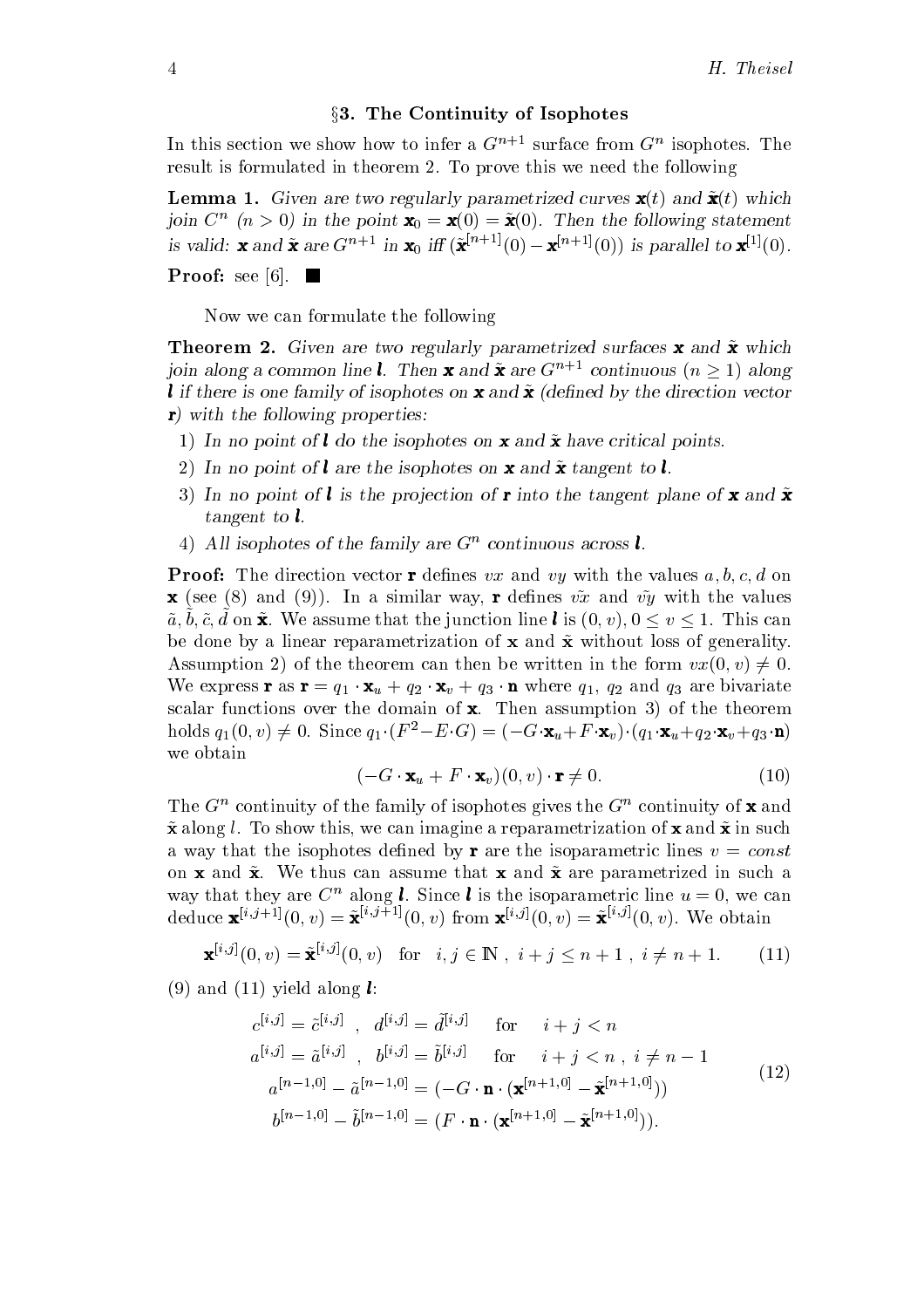### $\S 3.$  The Continuity of Isophotes

In this section we show how to infer a  $G^{n+1}$  surface from  $G^{n}$  isophotes. The result is formulated in theorem 2. To prove this we need the following

**Lemma 1.** Given are two regularly parametrized curves  $\mathbf{x}(t)$  and  $\tilde{\mathbf{x}}(t)$  which foin  $C^+$  (n  $>$  0) in the point  $\mathbf{x}_0 = \mathbf{x}(0) = \mathbf{x}(0)$ . Then the following statement is valid: **x** and **x** are  $G^{n+1}$  in **x**<sub>0</sub> if  $(\mathbf{X}^{n+1}(0) - \mathbf{X}^{n+1}(0))$  is parallel to  $\mathbf{X}^{n}(0)$ .

Now we can formulate the following

Proof see -

 $\blacksquare$  are  $\blacksquare$   $\blacksquare$   $\blacksquare$   $\blacksquare$   $\blacksquare$   $\blacksquare$   $\blacksquare$   $\blacksquare$   $\blacksquare$   $\blacksquare$   $\blacksquare$   $\blacksquare$   $\blacksquare$   $\blacksquare$   $\blacksquare$   $\blacksquare$   $\blacksquare$   $\blacksquare$   $\blacksquare$   $\blacksquare$   $\blacksquare$   $\blacksquare$   $\blacksquare$   $\blacksquare$   $\blacksquare$   $\blacksquare$   $\blacksquare$   $\blacksquare$   $\blacksquare$   $\blacksquare$  foin along a common line **t**. Then **x** and **x** are G<sup>n</sup> if continuous ( $n \geq 1$ ) along l if there is one family of isophotes on **x** and  $\tilde{\mathbf{x}}$  (defined by the direction vector  $r$ ) with the following properties:

- In in hot point of  $\bullet$  do the hoping for the wild in the correction points-
- 2) In no point of l are the isophotes on **x** and  $\tilde{\mathbf{x}}$  tangent to l.
- 3) In no point of **l** is the projection of **r** into the tangent plane of **x** and  $\tilde{\mathbf{x}}$ tangent to  $l$ .
- $4)$  All isophotes of the family are  $G^-$  continuous across  $\iota$ .

**Proof:** The direction vector **r** defines vx and vy with the values  $a, b, c, d$  on **x** (see (8) and (9)). In a similar way, **r** defines  $v\tilde{x}$  and  $v\tilde{y}$  with the values  $a, b, c, a$  on  $\mathbf{x}$ . We assume that the function line  $\mathbf{v}$  is  $(v, v), v \times v \times 1$ . This can be done by a linear reparametrization of  $x$  and  $\tilde{x}$  without loss of generality. Assumption 2) of the theorem can then be written in the form  $vx(0, v) \neq 0$ . We express **r** as  $\mathbf{r} = q_1 \cdot \mathbf{x}_u + q_2 \cdot \mathbf{x}_v + q_3 \cdot \mathbf{n}$  where  $q_1$ ,  $q_2$  and  $q_3$  are bivariate scalar functions over the domain of  $\mathbf x$ . Then assumption 3) of the theorem holds  $q_1(0, v) \neq 0$ . Since  $q_1 \cdot (F^2 - E \cdot G) = (-G \cdot \mathbf{x}_u + F \cdot \mathbf{x}_v) \cdot (q_1 \cdot \mathbf{x}_u + q_2 \cdot \mathbf{x}_v + q_3 \cdot \mathbf{n})$ we obtain

$$
(-G \cdot \mathbf{x}_u + F \cdot \mathbf{x}_v)(0, v) \cdot \mathbf{r} \neq 0. \tag{10}
$$

The  $G^+$  continuity of the family of isophotes gives the  $G^+$  continuity of **x** and  $\tilde{\mathbf{x}}$  along l. To show this, we can imagine a reparametrization of  $\mathbf{x}$  and  $\tilde{\mathbf{x}}$  in such a way that the isophotes defined by **r** are the isoparametric lines  $v = const$ on **x** and  $\tilde{x}$ . We thus can assume that **x** and  $\tilde{x}$  are parametrized in such a way that they are  $C^n$  along **l**. Since **l** is the isoparametric line  $u = 0$ , we can deduce  ${\bf x}^{(v,y)+1}(0,v)={\bf x}^{(v,y)+1}(0,v)$  from  ${\bf x}^{(v,y)}(0,v)={\bf x}^{(v,y)}(0,v)$ . We obtain

$$
\mathbf{x}^{[i,j]}(0,v) = \tilde{\mathbf{x}}^{[i,j]}(0,v) \text{ for } i, j \in \mathbb{N}, i+j \le n+1, i \ne n+1. \tag{11}
$$

 $\mathbf{v} = \mathbf{v}$  and  $\mathbf{v} = \mathbf{v}$  and  $\mathbf{v} = \mathbf{v}$ 

$$
c^{[i,j]} = \tilde{c}^{[i,j]}, \quad d^{[i,j]} = \tilde{d}^{[i,j]} \quad \text{for} \quad i+j < n
$$
  
\n
$$
a^{[i,j]} = \tilde{a}^{[i,j]}, \quad b^{[i,j]} = \tilde{b}^{[i,j]} \quad \text{for} \quad i+j < n, \quad i \neq n-1
$$
  
\n
$$
a^{[n-1,0]} - \tilde{a}^{[n-1,0]} = (-G \cdot \mathbf{n} \cdot (\mathbf{x}^{[n+1,0]} - \tilde{\mathbf{x}}^{[n+1,0]}))
$$
  
\n
$$
b^{[n-1,0]} - \tilde{b}^{[n-1,0]} = (F \cdot \mathbf{n} \cdot (\mathbf{x}^{[n+1,0]} - \tilde{\mathbf{x}}^{[n+1,0]})).
$$
\n(12)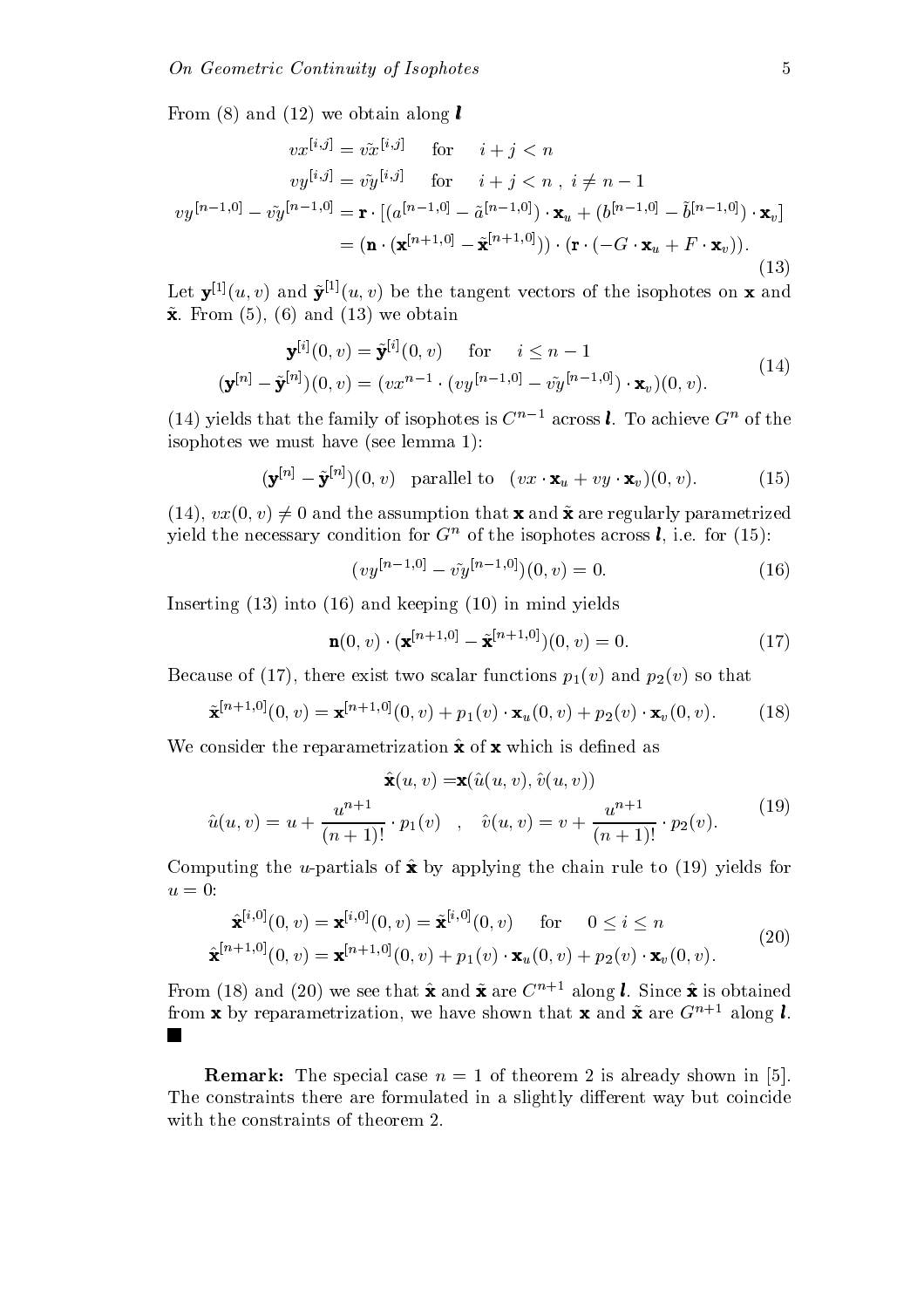From and we obtain along <sup>l</sup>

$$
vx^{[i,j]} = v\tilde{x}^{[i,j]}
$$
 for  $i+j < n$   
\n
$$
vy^{[i,j]} = v\tilde{y}^{[i,j]}
$$
 for  $i+j < n, i \neq n-1$   
\n
$$
vy^{[n-1,0]} - v\tilde{y}^{[n-1,0]} = \mathbf{r} \cdot \left[ (a^{[n-1,0]} - \tilde{a}^{[n-1,0]}) \cdot \mathbf{x}_u + (b^{[n-1,0]} - \tilde{b}^{[n-1,0]}) \cdot \mathbf{x}_v \right]
$$
  
\n
$$
= (\mathbf{n} \cdot (\mathbf{x}^{[n+1,0]} - \tilde{\mathbf{x}}^{[n+1,0]})) \cdot (\mathbf{r} \cdot (-G \cdot \mathbf{x}_u + F \cdot \mathbf{x}_v)).
$$
\n(13)

Let  $\mathbf{v}^{(1)}(u,v)$  and  $\mathbf{v}^{(2)}(u,v)$  be the tangent vectors of the isophotes on **x** and  $\mathbf{r}$   $\mathbf{r}$   $\mathbf{r}$   $\mathbf{r}$   $\mathbf{r}$   $\mathbf{r}$   $\mathbf{r}$   $\mathbf{r}$   $\mathbf{r}$   $\mathbf{r}$   $\mathbf{r}$   $\mathbf{r}$   $\mathbf{r}$   $\mathbf{r}$   $\mathbf{r}$   $\mathbf{r}$   $\mathbf{r}$   $\mathbf{r}$   $\mathbf{r}$   $\mathbf{r}$   $\mathbf{r}$   $\mathbf{r}$   $\mathbf{r}$   $\mathbf{r}$   $\mathbf{$ 

$$
\mathbf{y}^{[i]}(0, v) = \tilde{\mathbf{y}}^{[i]}(0, v) \quad \text{for} \quad i \le n - 1
$$
  

$$
(\mathbf{y}^{[n]} - \tilde{\mathbf{y}}^{[n]})(0, v) = (vx^{n-1} \cdot (vy^{[n-1, 0]} - v\tilde{y}^{[n-1, 0]}) \cdot \mathbf{x}_v)(0, v).
$$
 (14)

(14) yields that the family of isophotes is C<sub>12</sub> across **c**. To achieve G<sup>2</sup> of the is species we must have seen a problem of the seedies of  $\mathcal{L}_{\mathcal{A}}$ 

$$
(\mathbf{y}^{[n]} - \tilde{\mathbf{y}}^{[n]})(0, v) \quad \text{parallel to} \quad (vx \cdot \mathbf{x}_u + vy \cdot \mathbf{x}_v)(0, v). \tag{15}
$$

 $\mathbf{v} = \mathbf{v}$  ,  $\mathbf{v} = \mathbf{v}$  and  $\mathbf{v} = \mathbf{v}$  and  $\mathbf{v} = \mathbf{v}$  are regularly parametrized the set of  $\mathbf{v}$ yield the necessary condition for  $G^+$  of the isophotes across  $\ell$ , i.e. for (15):

$$
(vy^{[n-1,0]} - v\tilde{y}^{[n-1,0]})(0,v) = 0.
$$
\n(16)

Inserting into and keeping in mind yields

$$
\mathbf{n}(0, v) \cdot (\mathbf{x}^{[n+1, 0]} - \tilde{\mathbf{x}}^{[n+1, 0]})(0, v) = 0.
$$
 (17)

 $\mathbf{f}$  there exist two scalar functions pure exists that  $\mathbf{f}$  and  $\mathbf{f}$  and  $\mathbf{f}$ 

$$
\tilde{\mathbf{x}}^{[n+1,0]}(0,v) = \mathbf{x}^{[n+1,0]}(0,v) + p_1(v) \cdot \mathbf{x}_u(0,v) + p_2(v) \cdot \mathbf{x}_v(0,v).
$$
 (18)

We consider the reparametrization  $\hat{\mathbf{x}}$  of  $\mathbf{x}$  which is defined as

$$
\hat{\mathbf{x}}(u, v) = \mathbf{x}(\hat{u}(u, v), \hat{v}(u, v))
$$
  

$$
\hat{u}(u, v) = u + \frac{u^{n+1}}{(n+1)!} \cdot p_1(v) \quad , \quad \hat{v}(u, v) = v + \frac{u^{n+1}}{(n+1)!} \cdot p_2(v).
$$
 (19)

Computing the upartials of  $x \rightarrow y$  upplying the chain rule to  $\{x \rightarrow y \}$  $u=0$ :

$$
\hat{\mathbf{x}}^{[i,0]}(0,v) = \mathbf{x}^{[i,0]}(0,v) = \tilde{\mathbf{x}}^{[i,0]}(0,v) \quad \text{for} \quad 0 \le i \le n
$$
\n
$$
\hat{\mathbf{x}}^{[n+1,0]}(0,v) = \mathbf{x}^{[n+1,0]}(0,v) + p_1(v) \cdot \mathbf{x}_u(0,v) + p_2(v) \cdot \mathbf{x}_v(0,v). \tag{20}
$$

From (18) and (20) we see that **x** and **x** are C<sup>hiper</sup> along **t**. Since **x** is obtained from **x** by reparametrization, we have shown that **x** and  $\tilde{\mathbf{x}}$  are  $G^{n+1}$  along **l**.  $\blacksquare$ 

remarks the special case is already shown in the shown in the shown in a shown in  $\mathcal{S}^{\text{in}}$  is also The constraints there are formulated in a slightly different way but coincide with the constraints of theorem 2.

 $\cdot$   $-$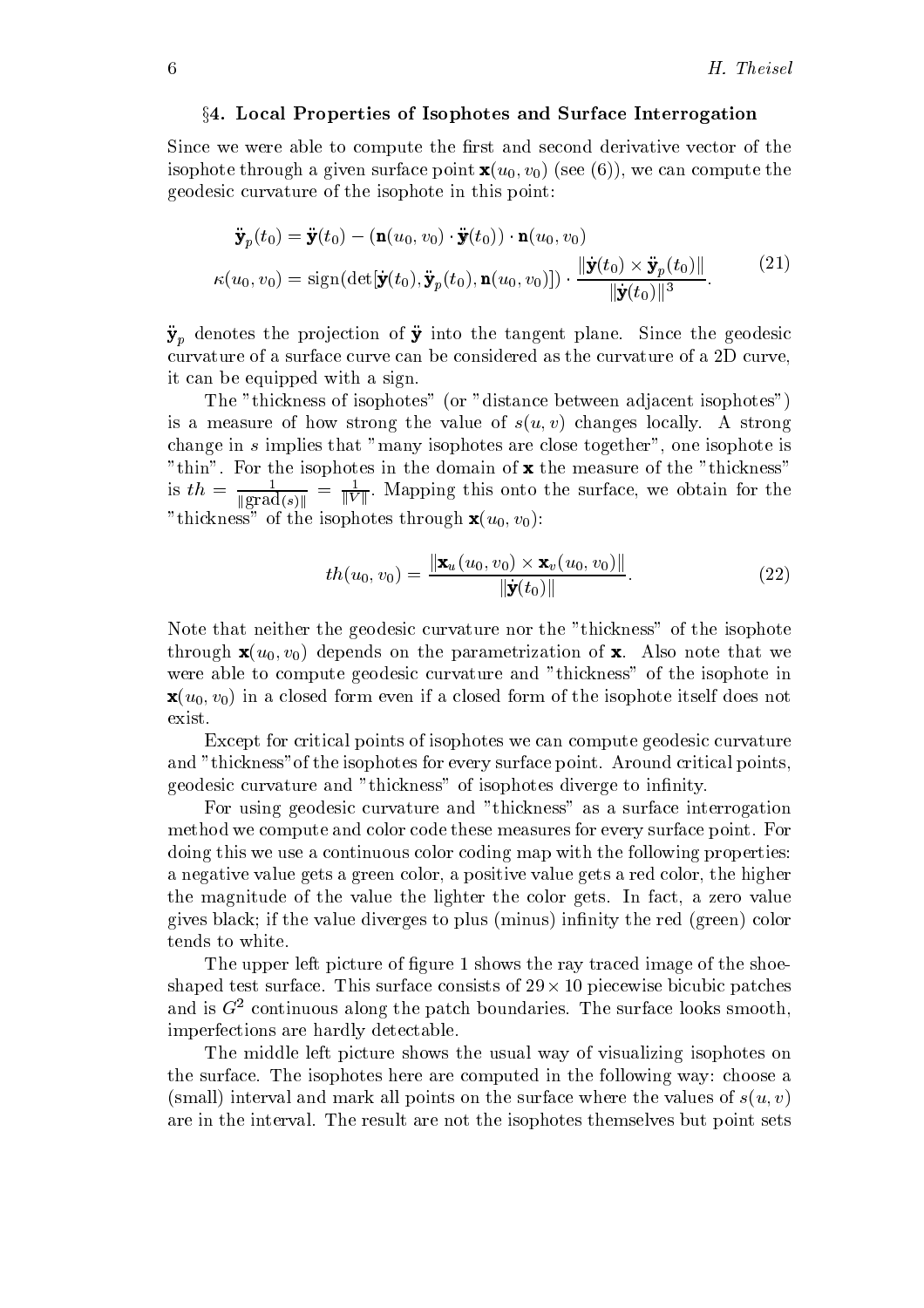## §4. Local Properties of Isophotes and Surface Interrogation

Since we were able to compute the first and second derivative vector of the isophote through a given surface point  $\mathbf{x}(u_0, v_0)$  (see (6)), we can compute the geodesic curvature of the isophote in this point

$$
\ddot{\mathbf{y}}_p(t_0) = \ddot{\mathbf{y}}(t_0) - (\mathbf{n}(u_0, v_0) \cdot \ddot{\mathbf{y}}(t_0)) \cdot \mathbf{n}(u_0, v_0)
$$
  

$$
\kappa(u_0, v_0) = \text{sign}(\det[\dot{\mathbf{y}}(t_0), \ddot{\mathbf{y}}_p(t_0), \mathbf{n}(u_0, v_0)]) \cdot \frac{\|\dot{\mathbf{y}}(t_0) \times \ddot{\mathbf{y}}_p(t_0)\|}{\|\dot{\mathbf{y}}(t_0)\|^3}.
$$
 (21)

 $\mathcal{Y}_p$  denotes the projection of  $\mathcal{Y}$  into the tangent plane. Since the geodesic curvature of a surface curve can be considered as the curvature of a 2D curve, it can be equipped with a sign

The "thickness of isophotes" (or "distance between adjacent isophotes") is a measure of how strong the value of  $s(u, v)$  changes locally. A strong change in  $s$  implies that "many isophotes are close together", one isophote is thin For the isophotes in the domain of x the measure of the thickness is  $t_n = \frac{1}{\|grad(s)\|} = \frac{1}{\|V\|}$ . Mapping this onto the surface, we obtain for the "thickness" of the isophotes through  $\mathbf{x}(u_0, v_0)$ :

$$
th(u_0, v_0) = \frac{\|\mathbf{x}_u(u_0, v_0) \times \mathbf{x}_v(u_0, v_0)\|}{\|\mathbf{y}(t_0)\|}.
$$
 (22)

Note that neither the geodesic curvature nor the "thickness" of the isophote through  $\mathbf{x}(u_0, v_0)$  depends on the parametrization of x. Also note that we were able to compute geodesic curvature and "thickness" of the isophote in  $\mathbf{x}(u_0, v_0)$  in a closed form even if a closed form of the isophote itself does not exist

Except for critical points of isophotes we can compute geodesic curvature and "thickness" of the isophotes for every surface point. Around critical points, geodesic curvature and "thickness" of isophotes diverge to infinity.

For using geodesic curvature and "thickness" as a surface interrogation method we compute and color code these measures for every surface point. For doing this we use a continuous color coding map with the following properties a negative value gets a green color, a positive value gets a red color, the higher the magnitude of the value the lighter the color gets In fact a zero value gives black; if the value diverges to plus (minus) infinity the red (green) color tends to white

 $\mathcal{L}$  the upper left picture of  $\mathcal{L}$  and  $\mathcal{L}$  image of the shock of the shock of the shock of the shock of the shock of the shock of the shock of the shock of the shock of the shock of the shock of the shock of shaped the test surface the surface consists of the surface patches of the surface patches of the surface of th and is  $G<sup>2</sup>$  continuous along the patch boundaries. The surface looks smooth, imperfections are hardly detectable

The middle left picture shows the usual way of visualizing isophotes on the surface. The isophotes here are computed in the following way: choose a (small) interval and mark all points on the surface where the values of  $s(u, v)$ are in the interval. The result are not the isophotes themselves but point sets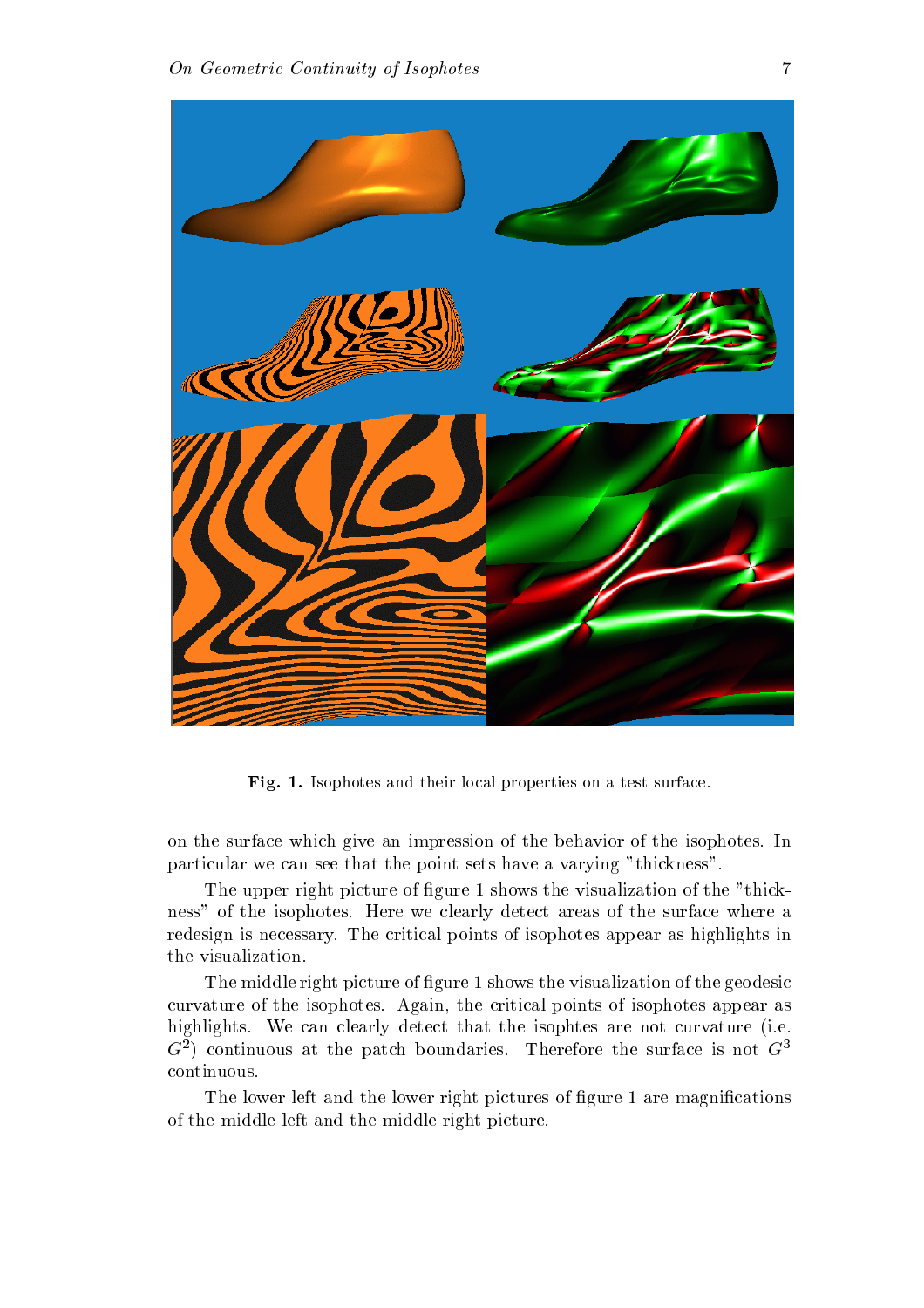

 $\bf r$  is  $\bf r$  isophotes and their local properties on a test surface.

on the surface which give an impression of the behavior of the isophotes. In particular we can see that the point sets have a varying "thickness".

The upper right picture of  $\frac{1}{2}$  and the visualization of the thicker of the thicker of the thicker of the thicker of the thicker of the thicker of the thicker of the thicker of the thicker of the thicker of the thicke ness" of the isophotes. Here we clearly detect areas of the surface where a redesign is necessary. The critical points of isophotes appear as highlights in the visualization

the middle right picture of  $\frac{1}{2}$  , which is the visualization of the girl middle curvature of the isophotes. Again, the critical points of isophotes appear as highlights. We can clearly detect that the isophtes are not curvature (i.e. G continuous at the patch boundaries Therefore the surface is not <sup>G</sup> continuous

 $\mathbf{A}$  and the lower right pictures of  $\mathbf{A}$  and  $\mathbf{A}$  are magnitudes of  $\mathbf{A}$ of the middle left and the middle right picture